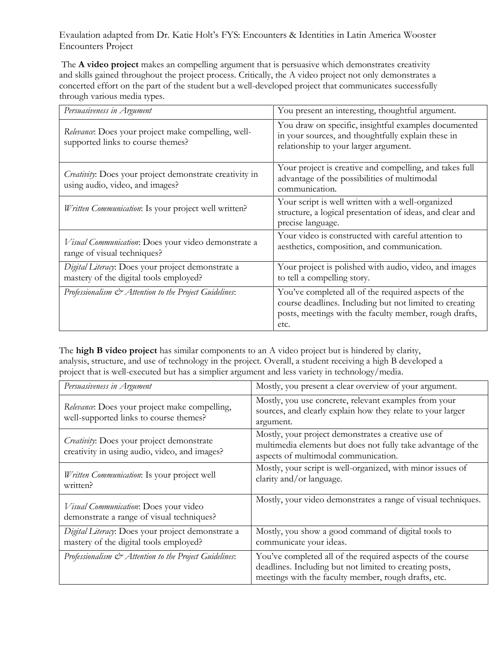Evaulation adapted from Dr. Katie Holt's FYS: Encounters & Identities in Latin America Wooster Encounters Project

The **A video project** makes an compelling argument that is persuasive which demonstrates creativity and skills gained throughout the project process. Critically, the A video project not only demonstrates a concerted effort on the part of the student but a well-developed project that communicates successfully through various media types.

| Persuasiveness in Argument                                                                  | You present an interesting, thoughtful argument.                                                                                                                                 |
|---------------------------------------------------------------------------------------------|----------------------------------------------------------------------------------------------------------------------------------------------------------------------------------|
| Relevance: Does your project make compelling, well-<br>supported links to course themes?    | You draw on specific, insightful examples documented<br>in your sources, and thoughtfully explain these in<br>relationship to your larger argument.                              |
| Creativity: Does your project demonstrate creativity in<br>using audio, video, and images?  | Your project is creative and compelling, and takes full<br>advantage of the possibilities of multimodal<br>communication.                                                        |
| Written Communication: Is your project well written?                                        | Your script is well written with a well-organized<br>structure, a logical presentation of ideas, and clear and<br>precise language.                                              |
| Visual Communication: Does your video demonstrate a<br>range of visual techniques?          | Your video is constructed with careful attention to<br>aesthetics, composition, and communication.                                                                               |
| Digital Literacy: Does your project demonstrate a<br>mastery of the digital tools employed? | Your project is polished with audio, video, and images<br>to tell a compelling story.                                                                                            |
| Professionalism & Attention to the Project Guidelines:                                      | You've completed all of the required aspects of the<br>course deadlines. Including but not limited to creating<br>posts, meetings with the faculty member, rough drafts,<br>etc. |

The **high B video project** has similar components to an A video project but is hindered by clarity, analysis, structure, and use of technology in the project. Overall, a student receiving a high B developed a project that is well-executed but has a simplier argument and less variety in technology/media.

| Persuasiveness in Argument                                                                  | Mostly, you present a clear overview of your argument.                                                                                                                        |
|---------------------------------------------------------------------------------------------|-------------------------------------------------------------------------------------------------------------------------------------------------------------------------------|
| Relevance: Does your project make compelling,<br>well-supported links to course themes?     | Mostly, you use concrete, relevant examples from your<br>sources, and clearly explain how they relate to your larger<br>argument.                                             |
| Creativity: Does your project demonstrate<br>creativity in using audio, video, and images?  | Mostly, your project demonstrates a creative use of<br>multimedia elements but does not fully take advantage of the<br>aspects of multimodal communication.                   |
| Written Communication: Is your project well<br>written?                                     | Mostly, your script is well-organized, with minor issues of<br>clarity and/or language.                                                                                       |
| Visual Communication: Does your video<br>demonstrate a range of visual techniques?          | Mostly, your video demonstrates a range of visual techniques.                                                                                                                 |
| Digital Literacy: Does your project demonstrate a<br>mastery of the digital tools employed? | Mostly, you show a good command of digital tools to<br>communicate your ideas.                                                                                                |
| Professionalism $\mathcal{Q}$ Attention to the Project Guidelines:                          | You've completed all of the required aspects of the course<br>deadlines. Including but not limited to creating posts,<br>meetings with the faculty member, rough drafts, etc. |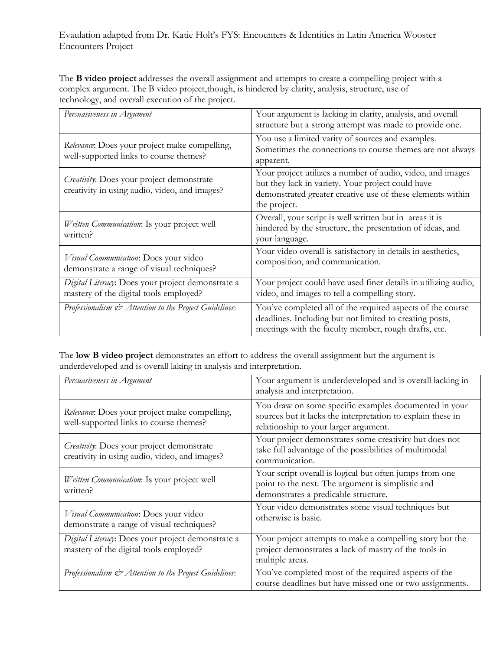Evaulation adapted from Dr. Katie Holt's FYS: Encounters & Identities in Latin America Wooster Encounters Project

The **B video project** addresses the overall assignment and attempts to create a compelling project with a complex argument. The B video project,though, is hindered by clarity, analysis, structure, use of technology, and overall execution of the project.

| Persuasiveness in Argument                                                                  | Your argument is lacking in clarity, analysis, and overall<br>structure but a strong attempt was made to provide one.                                                                         |
|---------------------------------------------------------------------------------------------|-----------------------------------------------------------------------------------------------------------------------------------------------------------------------------------------------|
| Relevance: Does your project make compelling,<br>well-supported links to course themes?     | You use a limited varity of sources and examples.<br>Sometimes the connections to course themes are not always<br>apparent.                                                                   |
| Creativity: Does your project demonstrate<br>creativity in using audio, video, and images?  | Your project utilizes a number of audio, video, and images<br>but they lack in variety. Your project could have<br>demonstrated greater creative use of these elements within<br>the project. |
| Written Communication: Is your project well<br>written?                                     | Overall, your script is well written but in areas it is<br>hindered by the structure, the presentation of ideas, and<br>your language.                                                        |
| Visual Communication: Does your video<br>demonstrate a range of visual techniques?          | Your video overall is satisfactory in details in aesthetics,<br>composition, and communication.                                                                                               |
| Digital Literacy: Does your project demonstrate a<br>mastery of the digital tools employed? | Your project could have used finer details in utilizing audio,<br>video, and images to tell a compelling story.                                                                               |
| Professionalism $\mathcal{Q}$ Attention to the Project Guidelines:                          | You've completed all of the required aspects of the course<br>deadlines. Including but not limited to creating posts,<br>meetings with the faculty member, rough drafts, etc.                 |

The **low B video project** demonstrates an effort to address the overall assignment but the argument is underdeveloped and is overall laking in analysis and interpretation.

| Persuasiveness in Argument                                                                  | Your argument is underdeveloped and is overall lacking in<br>analysis and interpretation.                                                                     |
|---------------------------------------------------------------------------------------------|---------------------------------------------------------------------------------------------------------------------------------------------------------------|
| Relevance: Does your project make compelling,<br>well-supported links to course themes?     | You draw on some specific examples documented in your<br>sources but it lacks the interpretation to explain these in<br>relationship to your larger argument. |
| Creativity: Does your project demonstrate<br>creativity in using audio, video, and images?  | Your project demonstrates some creativity but does not<br>take full advantage of the possibilities of multimodal<br>communication.                            |
| Written Communication: Is your project well<br>written?                                     | Your script overall is logical but often jumps from one<br>point to the next. The argument is simplistic and<br>demonstrates a predicable structure.          |
| Visual Communication: Does your video<br>demonstrate a range of visual techniques?          | Your video demonstrates some visual techniques but<br>otherwise is basic.                                                                                     |
| Digital Literacy: Does your project demonstrate a<br>mastery of the digital tools employed? | Your project attempts to make a compelling story but the<br>project demonstrates a lack of mastry of the tools in<br>multiple areas.                          |
| Professionalism & Attention to the Project Guidelines:                                      | You've completed most of the required aspects of the<br>course deadlines but have missed one or two assignments.                                              |